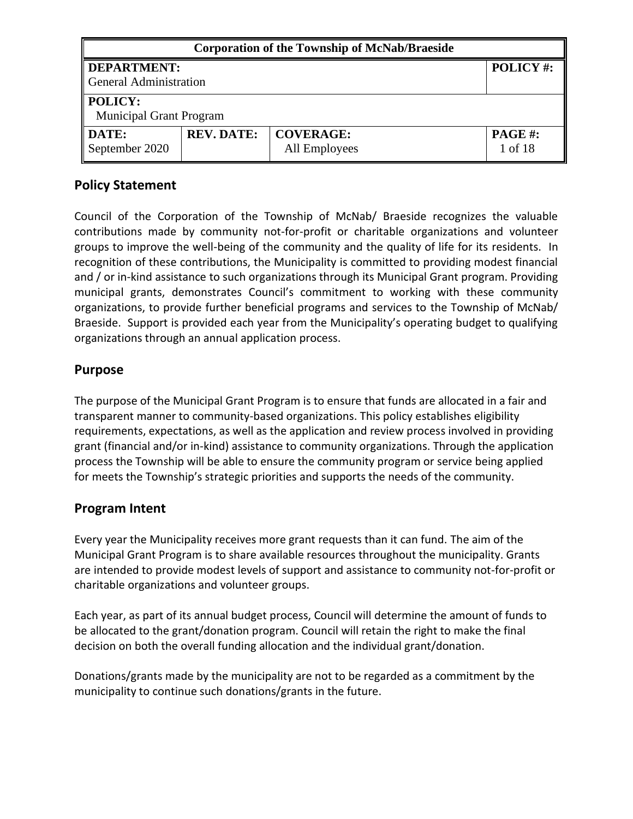| <b>Corporation of the Township of McNab/Braeside</b>                                                                 |                                |          |  |
|----------------------------------------------------------------------------------------------------------------------|--------------------------------|----------|--|
| DEPARTMENT:<br>General Administration                                                                                |                                | POLICY#: |  |
| $\parallel$ POLICY:                                                                                                  | <b>Municipal Grant Program</b> |          |  |
| <b>DATE:</b><br><b>REV. DATE:</b><br><b>COVERAGE:</b><br><b>PAGE#:</b><br>September 2020<br>1 of 18<br>All Employees |                                |          |  |

#### **Policy Statement**

Council of the Corporation of the Township of McNab/ Braeside recognizes the valuable contributions made by community not-for-profit or charitable organizations and volunteer groups to improve the well-being of the community and the quality of life for its residents. In recognition of these contributions, the Municipality is committed to providing modest financial and / or in-kind assistance to such organizations through its Municipal Grant program. Providing municipal grants, demonstrates Council's commitment to working with these community organizations, to provide further beneficial programs and services to the Township of McNab/ Braeside. Support is provided each year from the Municipality's operating budget to qualifying organizations through an annual application process.

#### **Purpose**

The purpose of the Municipal Grant Program is to ensure that funds are allocated in a fair and transparent manner to community-based organizations. This policy establishes eligibility requirements, expectations, as well as the application and review process involved in providing grant (financial and/or in-kind) assistance to community organizations. Through the application process the Township will be able to ensure the community program or service being applied for meets the Township's strategic priorities and supports the needs of the community.

#### **Program Intent**

Every year the Municipality receives more grant requests than it can fund. The aim of the Municipal Grant Program is to share available resources throughout the municipality. Grants are intended to provide modest levels of support and assistance to community not-for-profit or charitable organizations and volunteer groups.

Each year, as part of its annual budget process, Council will determine the amount of funds to be allocated to the grant/donation program. Council will retain the right to make the final decision on both the overall funding allocation and the individual grant/donation.

Donations/grants made by the municipality are not to be regarded as a commitment by the municipality to continue such donations/grants in the future.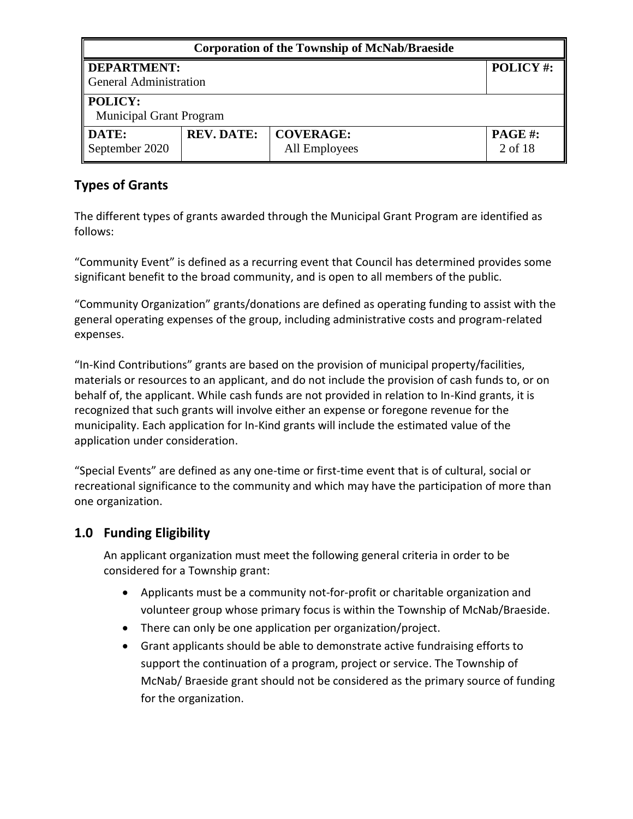| <b>Corporation of the Township of McNab/Braeside</b> |                                |                                   |                          |  |
|------------------------------------------------------|--------------------------------|-----------------------------------|--------------------------|--|
| <b>DEPARTMENT:</b><br><b>General Administration</b>  |                                |                                   | POLICY#:                 |  |
| <b>POLICY:</b>                                       | <b>Municipal Grant Program</b> |                                   |                          |  |
| DATE:<br>September 2020                              | <b>REV. DATE:</b>              | <b>COVERAGE:</b><br>All Employees | <b>PAGE#:</b><br>2 of 18 |  |

# **Types of Grants**

The different types of grants awarded through the Municipal Grant Program are identified as follows:

"Community Event" is defined as a recurring event that Council has determined provides some significant benefit to the broad community, and is open to all members of the public.

"Community Organization" grants/donations are defined as operating funding to assist with the general operating expenses of the group, including administrative costs and program-related expenses.

"In-Kind Contributions" grants are based on the provision of municipal property/facilities, materials or resources to an applicant, and do not include the provision of cash funds to, or on behalf of, the applicant. While cash funds are not provided in relation to In-Kind grants, it is recognized that such grants will involve either an expense or foregone revenue for the municipality. Each application for In-Kind grants will include the estimated value of the application under consideration.

"Special Events" are defined as any one-time or first-time event that is of cultural, social or recreational significance to the community and which may have the participation of more than one organization.

# **1.0 Funding Eligibility**

An applicant organization must meet the following general criteria in order to be considered for a Township grant:

- Applicants must be a community not-for-profit or charitable organization and volunteer group whose primary focus is within the Township of McNab/Braeside.
- There can only be one application per organization/project.
- Grant applicants should be able to demonstrate active fundraising efforts to support the continuation of a program, project or service. The Township of McNab/ Braeside grant should not be considered as the primary source of funding for the organization.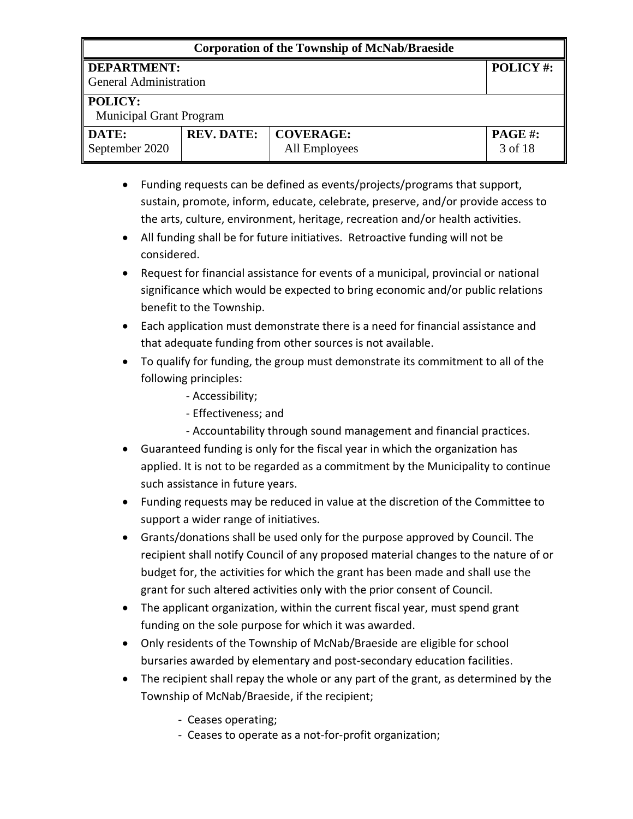#### **Corporation of the Township of McNab/Braeside**

# **DEPARTMENT:**

General Administration

#### **POLICY:**

Municipal Grant Program

| DATE:          | <b>REV. DATE:</b>   COVERAGE: |               | <b>PAGE#:</b> |
|----------------|-------------------------------|---------------|---------------|
| September 2020 |                               | All Employees | 3 of 18       |

- Funding requests can be defined as events/projects/programs that support, sustain, promote, inform, educate, celebrate, preserve, and/or provide access to the arts, culture, environment, heritage, recreation and/or health activities.
- All funding shall be for future initiatives. Retroactive funding will not be considered.
- Request for financial assistance for events of a municipal, provincial or national significance which would be expected to bring economic and/or public relations benefit to the Township.
- Each application must demonstrate there is a need for financial assistance and that adequate funding from other sources is not available.
- To qualify for funding, the group must demonstrate its commitment to all of the following principles:
	- Accessibility;
	- Effectiveness; and
	- Accountability through sound management and financial practices.
- Guaranteed funding is only for the fiscal year in which the organization has applied. It is not to be regarded as a commitment by the Municipality to continue such assistance in future years.
- Funding requests may be reduced in value at the discretion of the Committee to support a wider range of initiatives.
- Grants/donations shall be used only for the purpose approved by Council. The recipient shall notify Council of any proposed material changes to the nature of or budget for, the activities for which the grant has been made and shall use the grant for such altered activities only with the prior consent of Council.
- The applicant organization, within the current fiscal year, must spend grant funding on the sole purpose for which it was awarded.
- Only residents of the Township of McNab/Braeside are eligible for school bursaries awarded by elementary and post-secondary education facilities.
- The recipient shall repay the whole or any part of the grant, as determined by the Township of McNab/Braeside, if the recipient;
	- Ceases operating;
	- Ceases to operate as a not-for-profit organization;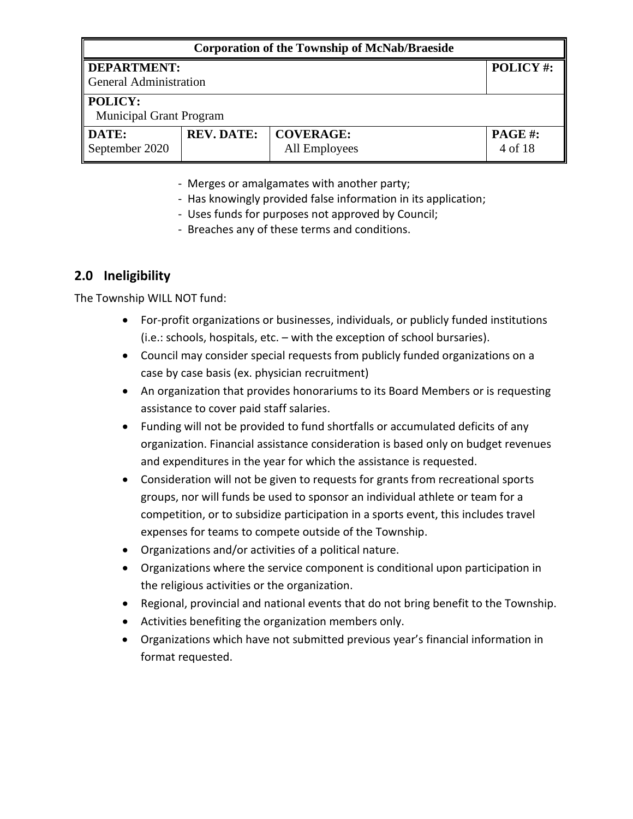| <b>Corporation of the Township of McNab/Braeside</b>                                                                  |                                |          |  |
|-----------------------------------------------------------------------------------------------------------------------|--------------------------------|----------|--|
| DEPARTMENT:<br>General Administration                                                                                 |                                | POLICY#: |  |
| <b>POLICY:</b>                                                                                                        | <b>Municipal Grant Program</b> |          |  |
| <b>DATE:</b><br><b>REV. DATE:</b><br><b>COVERAGE:</b><br><b>PAGE #:</b><br>September 2020<br>4 of 18<br>All Employees |                                |          |  |

- Merges or amalgamates with another party;
- Has knowingly provided false information in its application;
- Uses funds for purposes not approved by Council;
- Breaches any of these terms and conditions.

# **2.0 Ineligibility**

The Township WILL NOT fund:

- For-profit organizations or businesses, individuals, or publicly funded institutions (i.e.: schools, hospitals, etc. – with the exception of school bursaries).
- Council may consider special requests from publicly funded organizations on a case by case basis (ex. physician recruitment)
- An organization that provides honorariums to its Board Members or is requesting assistance to cover paid staff salaries.
- Funding will not be provided to fund shortfalls or accumulated deficits of any organization. Financial assistance consideration is based only on budget revenues and expenditures in the year for which the assistance is requested.
- Consideration will not be given to requests for grants from recreational sports groups, nor will funds be used to sponsor an individual athlete or team for a competition, or to subsidize participation in a sports event, this includes travel expenses for teams to compete outside of the Township.
- Organizations and/or activities of a political nature.
- Organizations where the service component is conditional upon participation in the religious activities or the organization.
- Regional, provincial and national events that do not bring benefit to the Township.
- Activities benefiting the organization members only.
- Organizations which have not submitted previous year's financial information in format requested.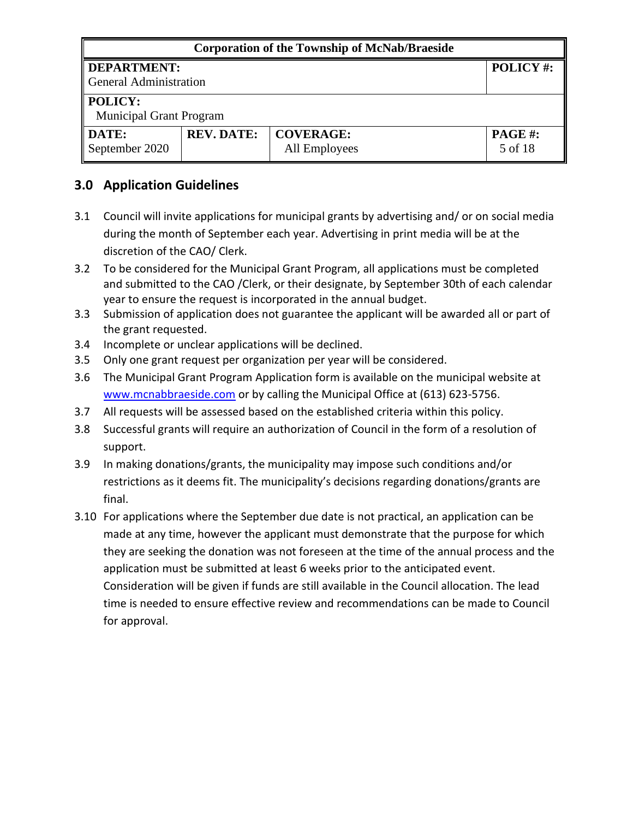| <b>Corporation of the Township of McNab/Braeside</b>                                                          |                                |  |                 |  |
|---------------------------------------------------------------------------------------------------------------|--------------------------------|--|-----------------|--|
| <b>DEPARTMENT:</b><br><b>General Administration</b>                                                           |                                |  | <b>POLICY#:</b> |  |
| POLICY:                                                                                                       | <b>Municipal Grant Program</b> |  |                 |  |
| <b>REV. DATE:</b><br><b>COVERAGE:</b><br>DATE:<br><b>PAGE#:</b><br>September 2020<br>5 of 18<br>All Employees |                                |  |                 |  |

## **3.0 Application Guidelines**

- 3.1 Council will invite applications for municipal grants by advertising and/ or on social media during the month of September each year. Advertising in print media will be at the discretion of the CAO/ Clerk.
- 3.2 To be considered for the Municipal Grant Program, all applications must be completed and submitted to the CAO /Clerk, or their designate, by September 30th of each calendar year to ensure the request is incorporated in the annual budget.
- 3.3 Submission of application does not guarantee the applicant will be awarded all or part of the grant requested.
- 3.4 Incomplete or unclear applications will be declined.
- 3.5 Only one grant request per organization per year will be considered.
- 3.6 The Municipal Grant Program Application form is available on the municipal website at [www.mcnabbraeside.com](http://www.mcnabbraeside.com/) or by calling the Municipal Office at (613) 623-5756.
- 3.7 All requests will be assessed based on the established criteria within this policy.
- 3.8 Successful grants will require an authorization of Council in the form of a resolution of support.
- 3.9 In making donations/grants, the municipality may impose such conditions and/or restrictions as it deems fit. The municipality's decisions regarding donations/grants are final.
- 3.10 For applications where the September due date is not practical, an application can be made at any time, however the applicant must demonstrate that the purpose for which they are seeking the donation was not foreseen at the time of the annual process and the application must be submitted at least 6 weeks prior to the anticipated event. Consideration will be given if funds are still available in the Council allocation. The lead time is needed to ensure effective review and recommendations can be made to Council for approval.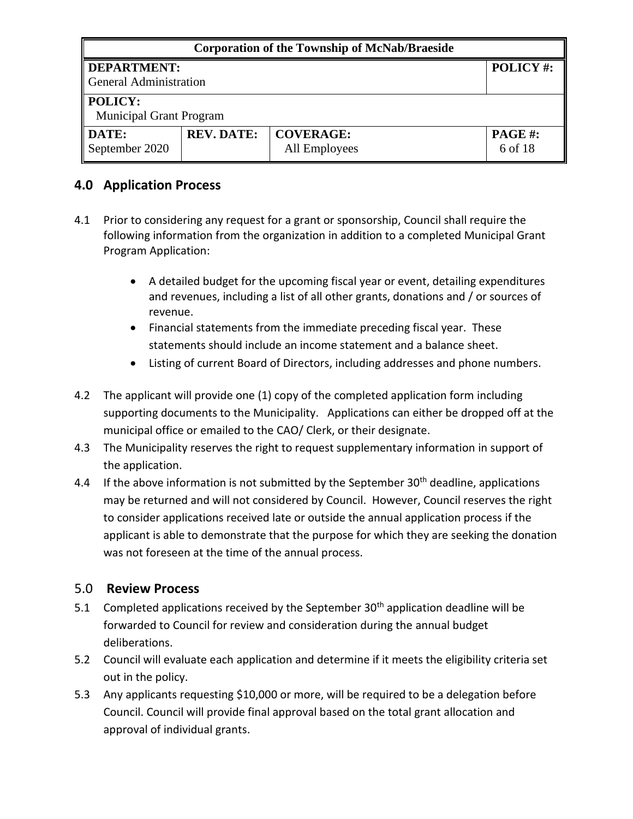| <b>Corporation of the Township of McNab/Braeside</b>                                                          |                                |  |          |
|---------------------------------------------------------------------------------------------------------------|--------------------------------|--|----------|
| <b>DEPARTMENT:</b><br><b>General Administration</b>                                                           |                                |  | POLICY#: |
| POLICY:                                                                                                       | <b>Municipal Grant Program</b> |  |          |
| DATE:<br><b>REV. DATE:</b><br><b>COVERAGE:</b><br><b>PAGE#:</b><br>September 2020<br>6 of 18<br>All Employees |                                |  |          |

## **4.0 Application Process**

- 4.1 Prior to considering any request for a grant or sponsorship, Council shall require the following information from the organization in addition to a completed Municipal Grant Program Application:
	- A detailed budget for the upcoming fiscal year or event, detailing expenditures and revenues, including a list of all other grants, donations and / or sources of revenue.
	- Financial statements from the immediate preceding fiscal year. These statements should include an income statement and a balance sheet.
	- Listing of current Board of Directors, including addresses and phone numbers.
- 4.2 The applicant will provide one (1) copy of the completed application form including supporting documents to the Municipality. Applications can either be dropped off at the municipal office or emailed to the CAO/ Clerk, or their designate.
- 4.3 The Municipality reserves the right to request supplementary information in support of the application.
- 4.4 If the above information is not submitted by the September  $30<sup>th</sup>$  deadline, applications may be returned and will not considered by Council. However, Council reserves the right to consider applications received late or outside the annual application process if the applicant is able to demonstrate that the purpose for which they are seeking the donation was not foreseen at the time of the annual process.

## 5.0 **Review Process**

- 5.1 Completed applications received by the September  $30<sup>th</sup>$  application deadline will be forwarded to Council for review and consideration during the annual budget deliberations.
- 5.2 Council will evaluate each application and determine if it meets the eligibility criteria set out in the policy.
- 5.3 Any applicants requesting \$10,000 or more, will be required to be a delegation before Council. Council will provide final approval based on the total grant allocation and approval of individual grants.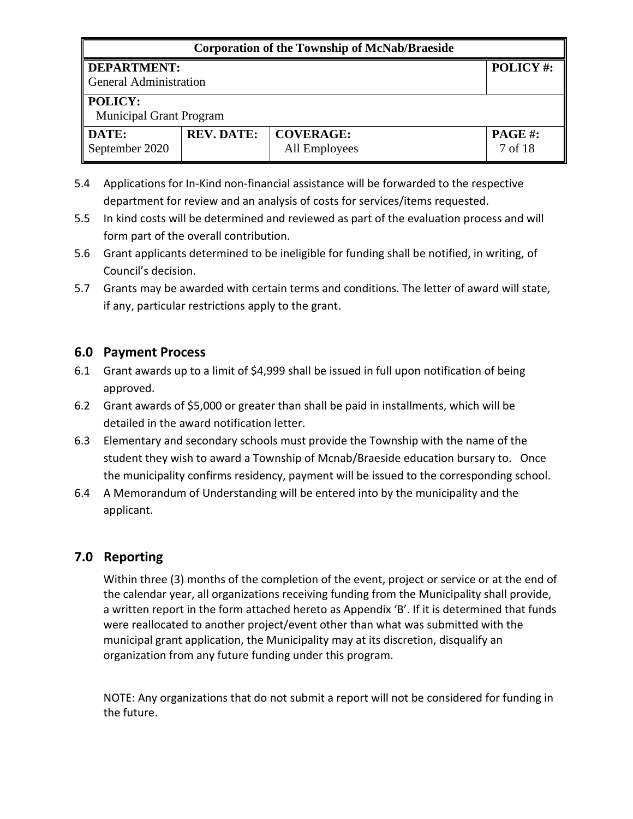| <b>Corporation of the Township of McNab/Braeside</b>                                                                 |                                |  |                 |
|----------------------------------------------------------------------------------------------------------------------|--------------------------------|--|-----------------|
| <b>DEPARTMENT:</b><br><b>General Administration</b>                                                                  |                                |  | <b>POLICY#:</b> |
| <b>POLICY:</b>                                                                                                       | <b>Municipal Grant Program</b> |  |                 |
| <b>REV. DATE:</b><br><b>COVERAGE:</b><br><b>PAGE#:</b><br><b>DATE:</b><br>September 2020<br>7 of 18<br>All Employees |                                |  |                 |

- 5.4 Applications for In-Kind non-financial assistance will be forwarded to the respective department for review and an analysis of costs for services/items requested.
- 5.5 In kind costs will be determined and reviewed as part of the evaluation process and will form part of the overall contribution.
- 5.6 Grant applicants determined to be ineligible for funding shall be notified, in writing, of Council's decision.
- 5.7 Grants may be awarded with certain terms and conditions. The letter of award will state, if any, particular restrictions apply to the grant.

## **6.0 Payment Process**

- 6.1 Grant awards up to a limit of \$4,999 shall be issued in full upon notification of being approved.
- 6.2 Grant awards of \$5,000 or greater than shall be paid in installments, which will be detailed in the award notification letter.
- 6.3 Elementary and secondary schools must provide the Township with the name of the student they wish to award a Township of Mcnab/Braeside education bursary to. Once the municipality confirms residency, payment will be issued to the corresponding school.
- 6.4 A Memorandum of Understanding will be entered into by the municipality and the applicant.

## **7.0 Reporting**

Within three (3) months of the completion of the event, project or service or at the end of the calendar year, all organizations receiving funding from the Municipality shall provide, a written report in the form attached hereto as Appendix 'B'. If it is determined that funds were reallocated to another project/event other than what was submitted with the municipal grant application, the Municipality may at its discretion, disqualify an organization from any future funding under this program.

NOTE: Any organizations that do not submit a report will not be considered for funding in the future.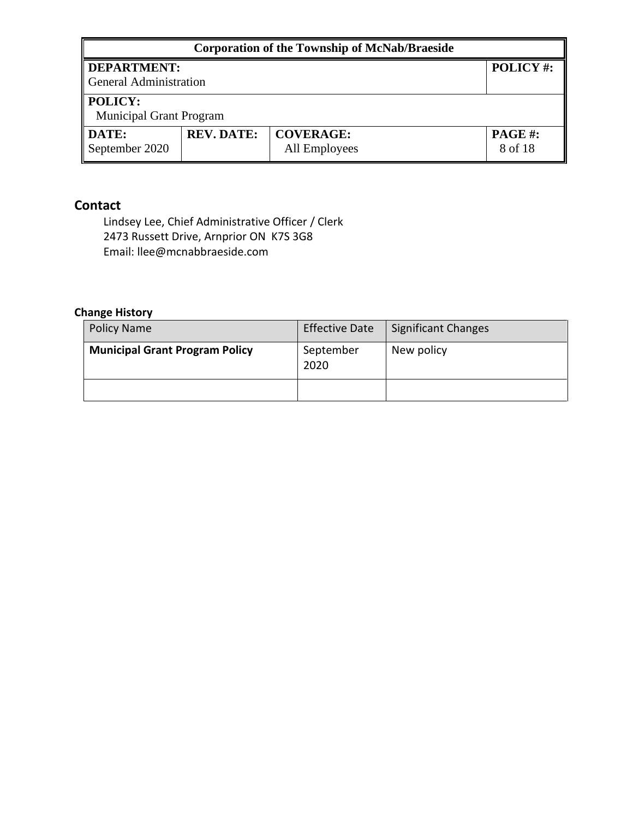| <b>Corporation of the Township of McNab/Braeside</b>                                                                 |                                |  |                 |
|----------------------------------------------------------------------------------------------------------------------|--------------------------------|--|-----------------|
| <b>DEPARTMENT:</b><br><b>General Administration</b>                                                                  |                                |  | <b>POLICY#:</b> |
| POLICY:                                                                                                              | <b>Municipal Grant Program</b> |  |                 |
| <b>REV. DATE:</b><br><b>COVERAGE:</b><br><b>DATE:</b><br><b>PAGE#:</b><br>September 2020<br>8 of 18<br>All Employees |                                |  |                 |

#### **Contact**

Lindsey Lee, Chief Administrative Officer / Clerk 2473 Russett Drive, Arnprior ON K7S 3G8 Email: llee@mcnabbraeside.com

#### **Change History**

| <b>Policy Name</b>                    | <b>Effective Date</b> | Significant Changes |
|---------------------------------------|-----------------------|---------------------|
| <b>Municipal Grant Program Policy</b> | September<br>2020     | New policy          |
|                                       |                       |                     |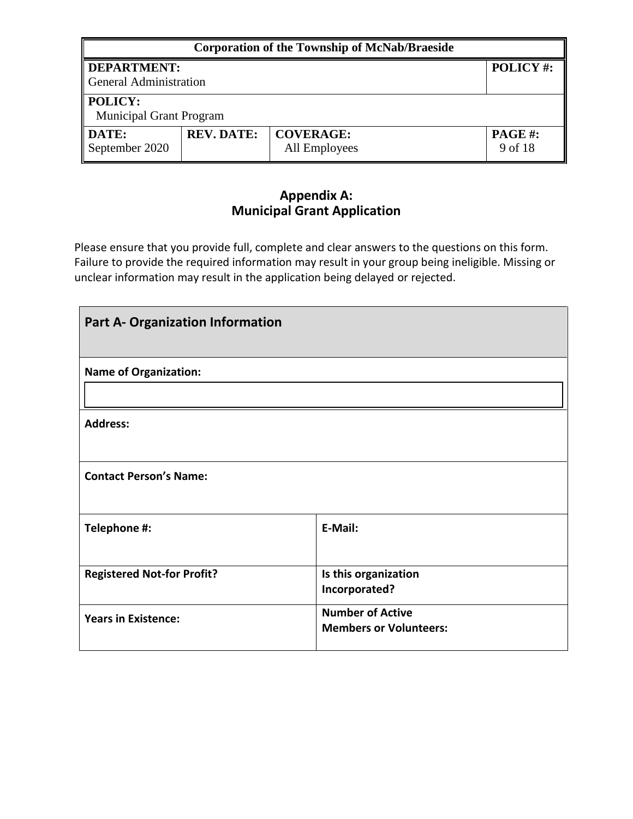| <b>Corporation of the Township of McNab/Braeside</b>                                                                 |                                |          |  |  |
|----------------------------------------------------------------------------------------------------------------------|--------------------------------|----------|--|--|
| DEPARTMENT:                                                                                                          |                                | POLICY#: |  |  |
|                                                                                                                      | General Administration         |          |  |  |
| <b>POLICY:</b>                                                                                                       | <b>Municipal Grant Program</b> |          |  |  |
| <b>DATE:</b><br><b>REV. DATE:</b><br><b>COVERAGE:</b><br><b>PAGE#:</b><br>September 2020<br>All Employees<br>9 of 18 |                                |          |  |  |

## **Appendix A: Municipal Grant Application**

Please ensure that you provide full, complete and clear answers to the questions on this form. Failure to provide the required information may result in your group being ineligible. Missing or unclear information may result in the application being delayed or rejected.

| <b>Part A- Organization Information</b> |                                                          |  |
|-----------------------------------------|----------------------------------------------------------|--|
| <b>Name of Organization:</b>            |                                                          |  |
| <b>Address:</b>                         |                                                          |  |
| <b>Contact Person's Name:</b>           |                                                          |  |
| Telephone #:                            | E-Mail:                                                  |  |
| <b>Registered Not-for Profit?</b>       | Is this organization<br>Incorporated?                    |  |
| <b>Years in Existence:</b>              | <b>Number of Active</b><br><b>Members or Volunteers:</b> |  |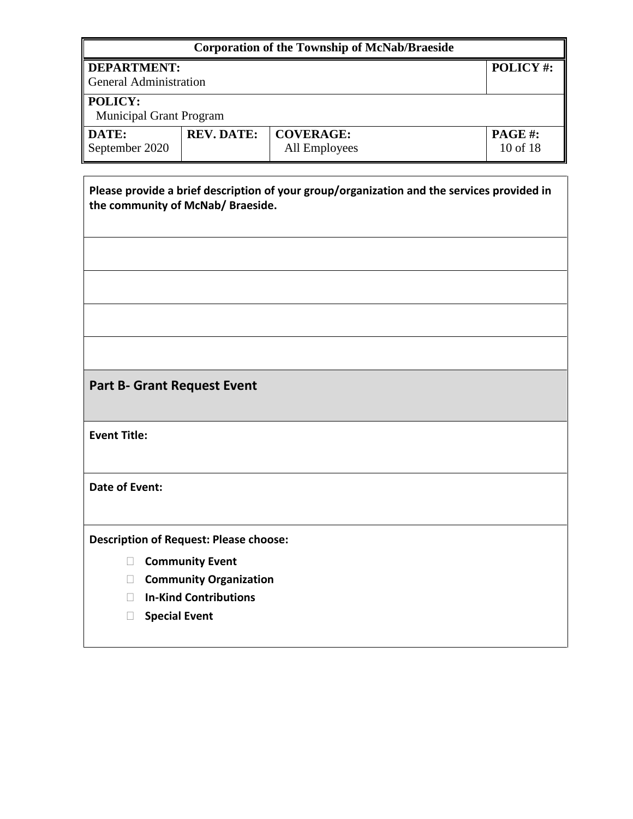| <b>Corporation of the Township of McNab/Braeside</b> |                                                                                                                                 |                                   |                    |  |  |
|------------------------------------------------------|---------------------------------------------------------------------------------------------------------------------------------|-----------------------------------|--------------------|--|--|
| <b>DEPARTMENT:</b><br><b>General Administration</b>  |                                                                                                                                 | POLICY#:                          |                    |  |  |
| POLICY:<br><b>Municipal Grant Program</b>            |                                                                                                                                 |                                   |                    |  |  |
| DATE:<br>September 2020                              | <b>REV. DATE:</b>                                                                                                               | <b>COVERAGE:</b><br>All Employees | PAGE#:<br>10 of 18 |  |  |
|                                                      | Please provide a brief description of your group/organization and the services provided in<br>the community of McNab/ Braeside. |                                   |                    |  |  |
|                                                      |                                                                                                                                 |                                   |                    |  |  |
|                                                      |                                                                                                                                 |                                   |                    |  |  |
| <b>Part B- Grant Request Event</b>                   |                                                                                                                                 |                                   |                    |  |  |
| <b>Event Title:</b>                                  |                                                                                                                                 |                                   |                    |  |  |
| <b>Date of Event:</b>                                |                                                                                                                                 |                                   |                    |  |  |
| <b>Description of Request: Please choose:</b>        |                                                                                                                                 |                                   |                    |  |  |
| $\mathbf{L}$                                         | <b>Community Event</b><br><b>Community Organization</b>                                                                         |                                   |                    |  |  |
| $\vert \ \ \vert$<br><b>Special Event</b><br>$\Box$  | <b>In-Kind Contributions</b>                                                                                                    |                                   |                    |  |  |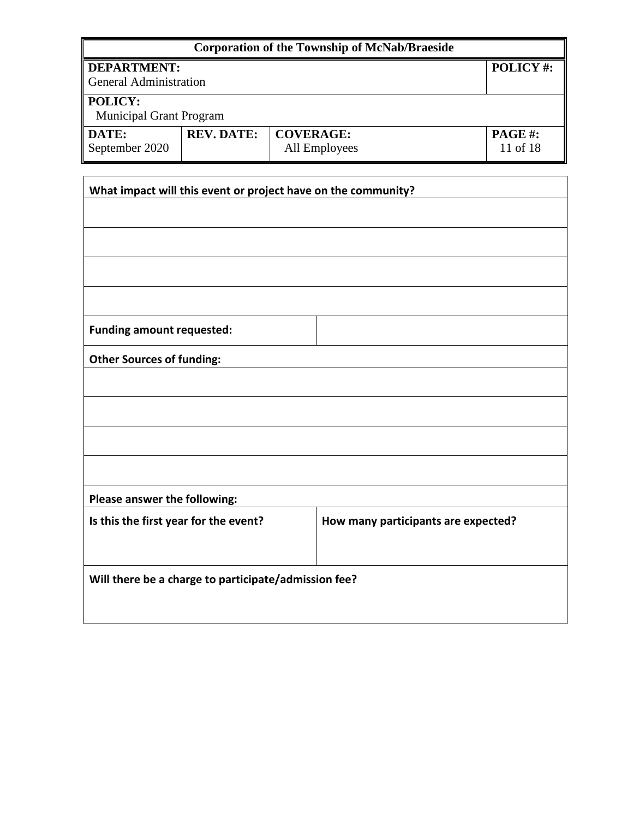|                                                     |                                                        | <b>Corporation of the Township of McNab/Braeside</b>          |                    |  |
|-----------------------------------------------------|--------------------------------------------------------|---------------------------------------------------------------|--------------------|--|
| <b>DEPARTMENT:</b><br><b>General Administration</b> |                                                        |                                                               | POLICY#:           |  |
| POLICY:<br><b>Municipal Grant Program</b>           |                                                        |                                                               |                    |  |
| DATE:<br>September 2020                             | <b>REV. DATE:</b><br><b>COVERAGE:</b><br>All Employees |                                                               | PAGE#:<br>11 of 18 |  |
|                                                     |                                                        | What impact will this event or project have on the community? |                    |  |
|                                                     |                                                        |                                                               |                    |  |
|                                                     |                                                        |                                                               |                    |  |
|                                                     |                                                        |                                                               |                    |  |
|                                                     |                                                        |                                                               |                    |  |
| <b>Funding amount requested:</b>                    |                                                        |                                                               |                    |  |
| <b>Other Sources of funding:</b>                    |                                                        |                                                               |                    |  |
|                                                     |                                                        |                                                               |                    |  |
|                                                     |                                                        |                                                               |                    |  |
|                                                     |                                                        |                                                               |                    |  |
|                                                     |                                                        |                                                               |                    |  |
| Please answer the following:                        |                                                        |                                                               |                    |  |
|                                                     | Is this the first year for the event?                  | How many participants are expected?                           |                    |  |
|                                                     |                                                        | Will there be a charge to participate/admission fee?          |                    |  |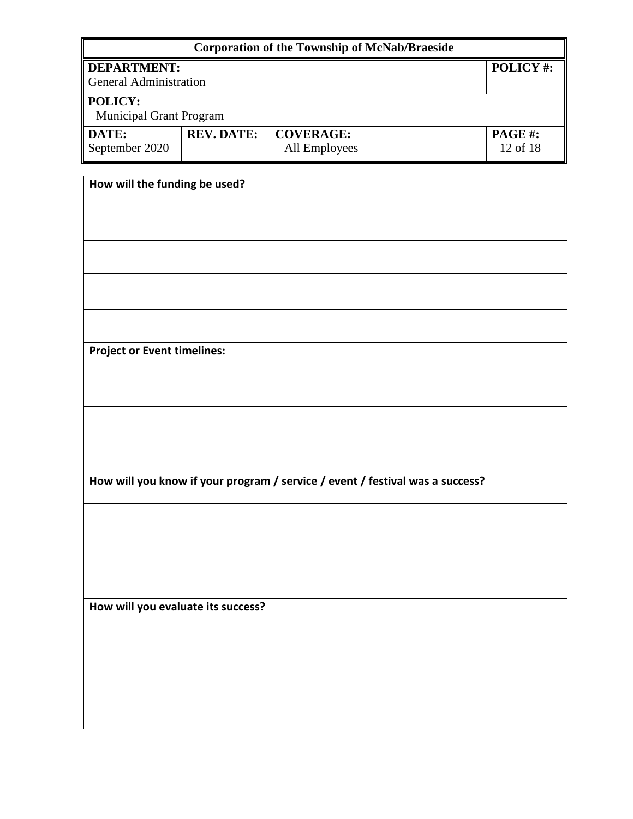| <b>Corporation of the Township of McNab/Braeside</b> |                   |                                                                               |          |
|------------------------------------------------------|-------------------|-------------------------------------------------------------------------------|----------|
| <b>DEPARTMENT:</b>                                   |                   |                                                                               | POLICY#: |
| <b>General Administration</b>                        |                   |                                                                               |          |
| POLICY:                                              |                   |                                                                               |          |
| Municipal Grant Program                              |                   |                                                                               |          |
| DATE:                                                | <b>REV. DATE:</b> | <b>COVERAGE:</b>                                                              | PAGE#:   |
| September 2020                                       |                   | All Employees                                                                 | 12 of 18 |
|                                                      |                   |                                                                               |          |
| How will the funding be used?                        |                   |                                                                               |          |
|                                                      |                   |                                                                               |          |
|                                                      |                   |                                                                               |          |
|                                                      |                   |                                                                               |          |
|                                                      |                   |                                                                               |          |
|                                                      |                   |                                                                               |          |
| <b>Project or Event timelines:</b>                   |                   |                                                                               |          |
|                                                      |                   |                                                                               |          |
|                                                      |                   |                                                                               |          |
|                                                      |                   |                                                                               |          |
|                                                      |                   | How will you know if your program / service / event / festival was a success? |          |
|                                                      |                   |                                                                               |          |
|                                                      |                   |                                                                               |          |
|                                                      |                   |                                                                               |          |
|                                                      |                   |                                                                               |          |
| How will you evaluate its success?                   |                   |                                                                               |          |
|                                                      |                   |                                                                               |          |
|                                                      |                   |                                                                               |          |
|                                                      |                   |                                                                               |          |
|                                                      |                   |                                                                               |          |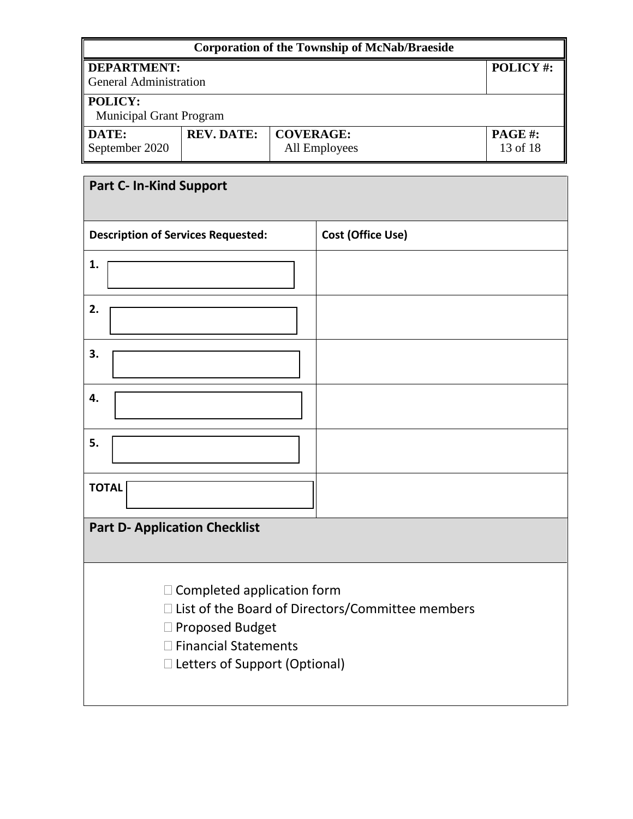| <b>Corporation of the Township of McNab/Braeside</b>                                                           |  |  |          |  |
|----------------------------------------------------------------------------------------------------------------|--|--|----------|--|
| <b>DEPARTMENT:</b><br>General Administration                                                                   |  |  | POLICY#: |  |
| <b>POLICY:</b><br><b>Municipal Grant Program</b>                                                               |  |  |          |  |
| <b>REV. DATE:</b><br><b>COVERAGE:</b><br><b>PAGE#:</b><br>DATE:<br>September 2020<br>13 of 18<br>All Employees |  |  |          |  |

| <b>Part C- In-Kind Support</b>                                                                                      |                                                    |
|---------------------------------------------------------------------------------------------------------------------|----------------------------------------------------|
|                                                                                                                     |                                                    |
| <b>Description of Services Requested:</b>                                                                           | Cost (Office Use)                                  |
| 1.                                                                                                                  |                                                    |
| 2.                                                                                                                  |                                                    |
| 3.                                                                                                                  |                                                    |
| 4.                                                                                                                  |                                                    |
| 5.                                                                                                                  |                                                    |
| <b>TOTAL</b>                                                                                                        |                                                    |
| <b>Part D- Application Checklist</b>                                                                                |                                                    |
| $\Box$ Completed application form<br>□ Proposed Budget<br>□ Financial Statements<br>□ Letters of Support (Optional) | □ List of the Board of Directors/Committee members |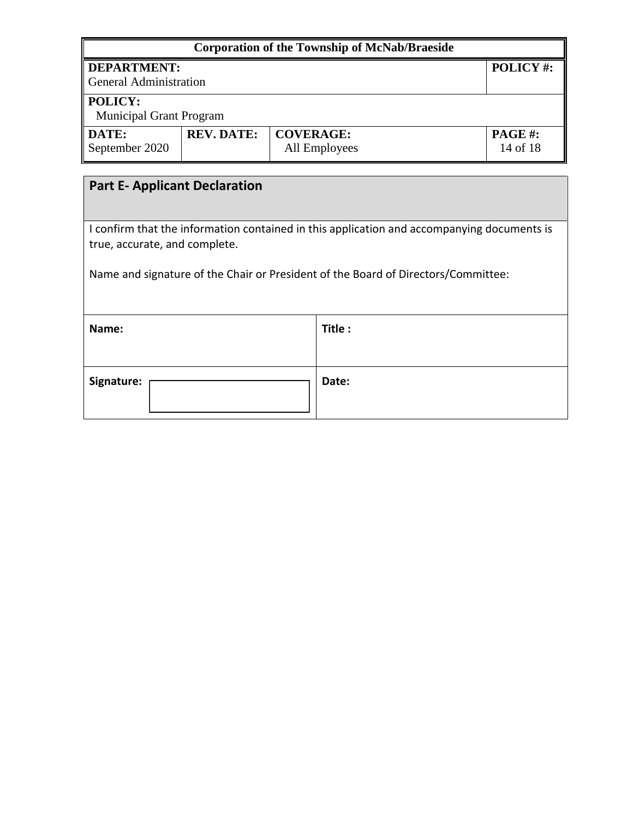| <b>Corporation of the Township of McNab/Braeside</b>                                                                        |                                     |                    |  |          |  |  |
|-----------------------------------------------------------------------------------------------------------------------------|-------------------------------------|--------------------|--|----------|--|--|
| <b>DEPARTMENT:</b><br><b>General Administration</b>                                                                         |                                     |                    |  | POLICY#: |  |  |
| POLICY:<br><b>Municipal Grant Program</b>                                                                                   |                                     |                    |  |          |  |  |
| DATE:<br><b>REV. DATE:</b><br><b>COVERAGE:</b><br>September 2020<br>All Employees                                           |                                     | PAGE#:<br>14 of 18 |  |          |  |  |
|                                                                                                                             | <b>Part E-Applicant Declaration</b> |                    |  |          |  |  |
| I confirm that the information contained in this application and accompanying documents is<br>true, accurate, and complete. |                                     |                    |  |          |  |  |
| Name and signature of the Chair or President of the Board of Directors/Committee:                                           |                                     |                    |  |          |  |  |
| Title:<br>Name:                                                                                                             |                                     |                    |  |          |  |  |
| Date:<br>Signature:                                                                                                         |                                     |                    |  |          |  |  |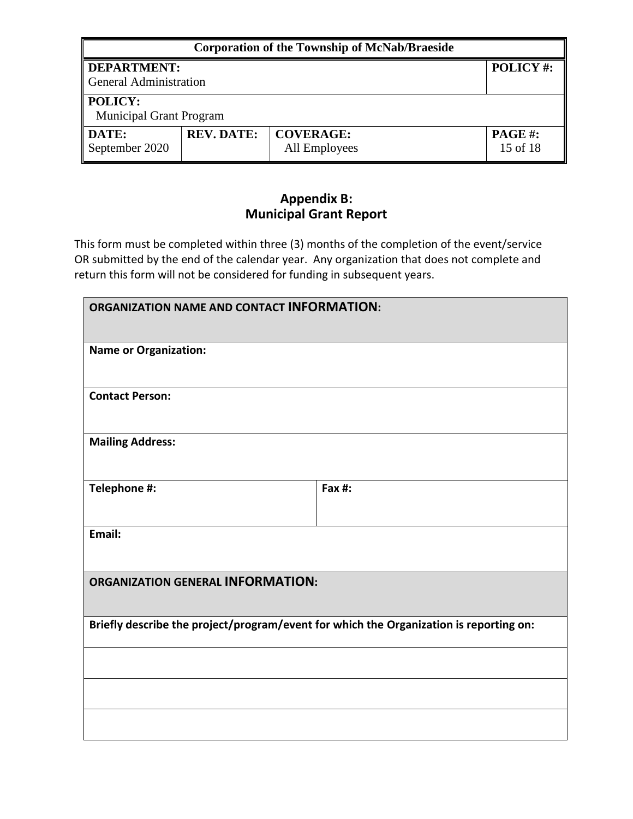| <b>Corporation of the Township of McNab/Braeside</b> |                   |                                   |                           |
|------------------------------------------------------|-------------------|-----------------------------------|---------------------------|
| DEPARTMENT:                                          |                   |                                   | POLICY#:                  |
| General Administration                               |                   |                                   |                           |
| POLICY:<br><b>Municipal Grant Program</b>            |                   |                                   |                           |
| DATE:<br>September 2020                              | <b>REV. DATE:</b> | <b>COVERAGE:</b><br>All Employees | <b>PAGE#:</b><br>15 of 18 |

## **Appendix B: Municipal Grant Report**

This form must be completed within three (3) months of the completion of the event/service OR submitted by the end of the calendar year. Any organization that does not complete and return this form will not be considered for funding in subsequent years.

| <b>ORGANIZATION NAME AND CONTACT INFORMATION:</b>                                      |        |  |
|----------------------------------------------------------------------------------------|--------|--|
| <b>Name or Organization:</b>                                                           |        |  |
| <b>Contact Person:</b>                                                                 |        |  |
| <b>Mailing Address:</b>                                                                |        |  |
| Telephone #:                                                                           | Fax #: |  |
| Email:                                                                                 |        |  |
| <b>ORGANIZATION GENERAL INFORMATION:</b>                                               |        |  |
| Briefly describe the project/program/event for which the Organization is reporting on: |        |  |
|                                                                                        |        |  |
|                                                                                        |        |  |
|                                                                                        |        |  |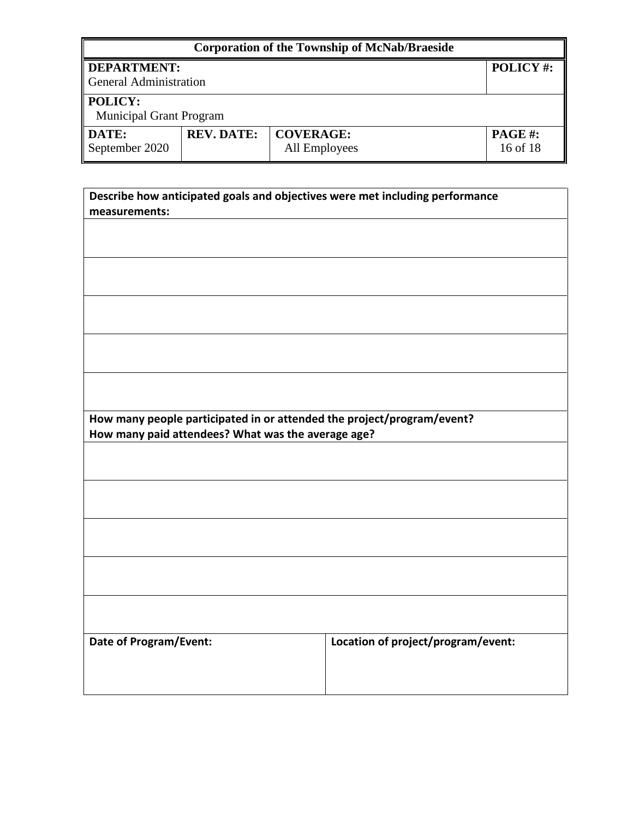| <b>Corporation of the Township of McNab/Braeside</b> |                   |                                   |                            |
|------------------------------------------------------|-------------------|-----------------------------------|----------------------------|
| DEPARTMENT:<br>General Administration                |                   |                                   | POLICY#:                   |
| <b>POLICY:</b><br><b>Municipal Grant Program</b>     |                   |                                   |                            |
| <b>DATE:</b><br>September 2020                       | <b>REV. DATE:</b> | <b>COVERAGE:</b><br>All Employees | <b>PAGE #:</b><br>16 of 18 |

| Describe how anticipated goals and objectives were met including performance |                                    |  |  |
|------------------------------------------------------------------------------|------------------------------------|--|--|
| measurements:                                                                |                                    |  |  |
|                                                                              |                                    |  |  |
|                                                                              |                                    |  |  |
|                                                                              |                                    |  |  |
|                                                                              |                                    |  |  |
|                                                                              |                                    |  |  |
|                                                                              |                                    |  |  |
|                                                                              |                                    |  |  |
|                                                                              |                                    |  |  |
|                                                                              |                                    |  |  |
|                                                                              |                                    |  |  |
|                                                                              |                                    |  |  |
|                                                                              |                                    |  |  |
|                                                                              |                                    |  |  |
| How many people participated in or attended the project/program/event?       |                                    |  |  |
| How many paid attendees? What was the average age?                           |                                    |  |  |
|                                                                              |                                    |  |  |
|                                                                              |                                    |  |  |
|                                                                              |                                    |  |  |
|                                                                              |                                    |  |  |
|                                                                              |                                    |  |  |
|                                                                              |                                    |  |  |
|                                                                              |                                    |  |  |
|                                                                              |                                    |  |  |
|                                                                              |                                    |  |  |
|                                                                              |                                    |  |  |
|                                                                              |                                    |  |  |
|                                                                              |                                    |  |  |
|                                                                              |                                    |  |  |
|                                                                              |                                    |  |  |
| Date of Program/Event:                                                       | Location of project/program/event: |  |  |
|                                                                              |                                    |  |  |
|                                                                              |                                    |  |  |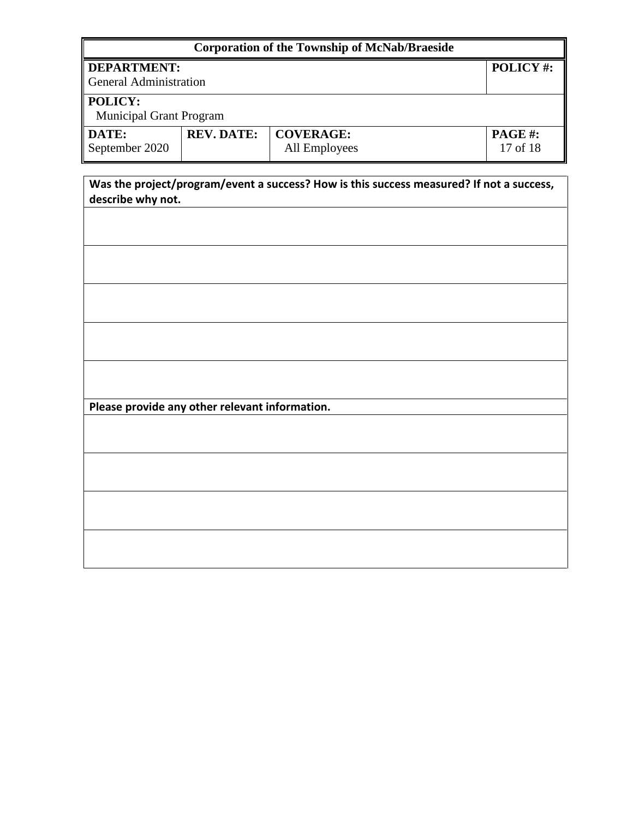| <b>Corporation of the Township of McNab/Braeside</b> |                   |                                   |                                                                                          |
|------------------------------------------------------|-------------------|-----------------------------------|------------------------------------------------------------------------------------------|
| <b>DEPARTMENT:</b><br><b>General Administration</b>  |                   |                                   | POLICY#:                                                                                 |
| POLICY:<br>Municipal Grant Program                   |                   |                                   |                                                                                          |
| DATE:<br>September 2020                              | <b>REV. DATE:</b> | <b>COVERAGE:</b><br>All Employees | PAGE#:<br>17 of 18                                                                       |
| describe why not.                                    |                   |                                   | Was the project/program/event a success? How is this success measured? If not a success, |
|                                                      |                   |                                   |                                                                                          |
|                                                      |                   |                                   |                                                                                          |
|                                                      |                   |                                   |                                                                                          |
|                                                      |                   |                                   |                                                                                          |
|                                                      |                   |                                   |                                                                                          |
|                                                      |                   |                                   |                                                                                          |
| Please provide any other relevant information.       |                   |                                   |                                                                                          |
|                                                      |                   |                                   |                                                                                          |
|                                                      |                   |                                   |                                                                                          |
|                                                      |                   |                                   |                                                                                          |
|                                                      |                   |                                   |                                                                                          |
|                                                      |                   |                                   |                                                                                          |